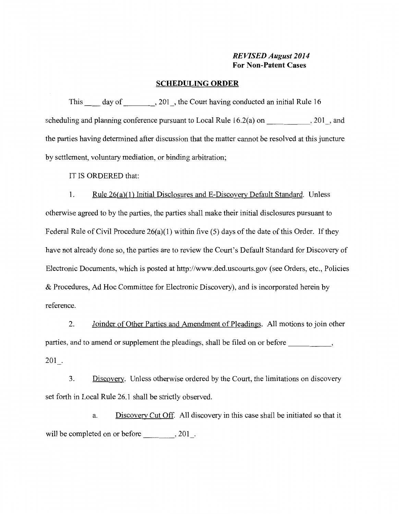## *REVISED August 2014*  **For Non-Patent Cases**

### **SCHEDULING ORDER**

This day of 201, the Court having conducted an initial Rule 16 scheduling and planning conference pursuant to Local Rule  $16.2(a)$  on  $, 201$ , and the parties having determined after discussion that the matter cannot be resolved at this juncture by settlement, voluntary mediation, or binding arbitration;

IT IS ORDERED that:

1. Rule 26(a)(l) Initial Disclosures and E-Discovery Default Standard. Unless otherwise agreed to by the parties, the parties shall make their initial disclosures pursuant to Federal Rule of Civil Procedure 26(a)(1) within five (5) days of the date of this Order. If they have not already done so, the parties are to review the Court's Default Standard for Discovery of Electronic Documents, which is posted at http://www.ded.uscourts.gov (see Orders, etc., Policies & Procedures, Ad Hoc Committee for Electronic Discovery), and is incorporated herein by reference.

2. Joinder of Other Parties and Amendment of Pleadings. All motions to join other parties, and to amend or supplement the pleadings, shall be filed on or before \_\_\_\_\_\_\_\_\_\_\_\_\_\_,  $201$ .

3. Discovery. Unless otherwise ordered by the Court, the limitations on discovery set forth in Local Rule 26.1 shall be strictly observed.

a. Discovery Cut Off. All discovery in this case shall be initiated so that it will be completed on or before \_\_\_\_\_\_\_, 201.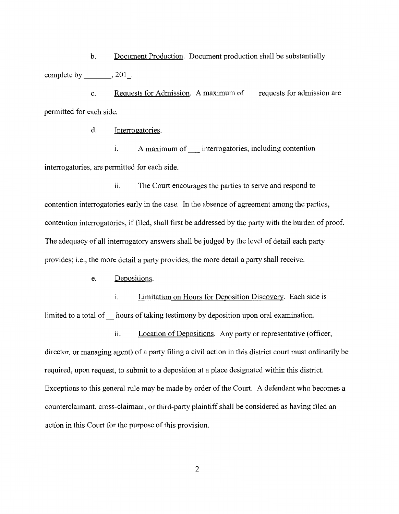b. Document Production. Document production shall be substantially complete by  $\_\_\_$ , 201 $\_\_$ .

c. Requests for Admission. A maximum of requests for admission are permitted for each side.

d. Interrogatories.

i. A maximum of interrogatories, including contention interrogatories, are permitted for each side.

ii. The Court encourages the parties to serve and respond to contention interrogatories early in the case. In the absence of agreement among the parties, contention interrogatories, if filed, shall first be addressed by the party with the burden of proof. The adequacy of all interrogatory answers shall be judged by the level of detail each party provides; i.e., the more detail a party provides, the more detail a party shall receive.

e. Depositions.

i. Limitation on Hours for Deposition Discovery. Each side is limited to a total of hours of taking testimony by deposition upon oral examination.

ii. Location of Depositions. Any party or representative (officer, director, or managing agent) of a party filing a civil action in this district court must ordinarily be required, upon request, to submit to a deposition at a place designated within this district. Exceptions to this general rule may be made by order of the Court. A defendant who becomes a counterclaimant, cross-claimant, or third-party plaintiff shall be considered as having filed an action in this Court for the purpose of this provision.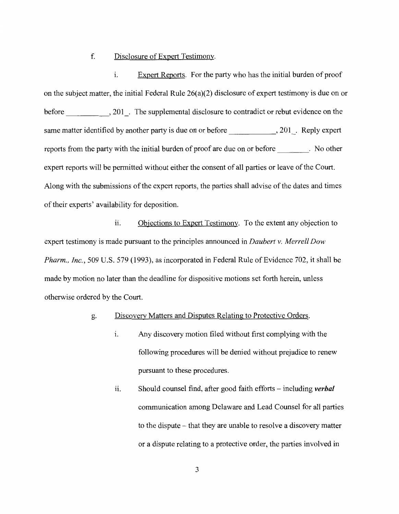### f. Disclosure of Expert Testimony.

i. Expert Reports. For the party who has the initial burden of proof on the subject matter, the initial Federal Rule 26(a)(2) disclosure of expert testimony is due on or before , 201. The supplemental disclosure to contradict or rebut evidence on the same matter identified by another party is due on or before , 201 . Reply expert reports from the party with the initial burden of proof are due on or before . No other expert reports will be permitted without either the consent of all parties or leave of the Court. Along with the submissions of the expert reports, the parties shall advise of the dates and times of their experts' availability for deposition.

ii. Objections to Expert Testimony. To the extent any objection to expert testimony is made pursuant to the principles announced in *Daubert v. Merrell Dow Pharm., Inc.,* 509 U.S. 579 (1993), as incorporated in Federal Rule of Evidence 702, it shall be made by motion no later than the deadline for dispositive motions set forth herein, unless otherwise ordered by the Court.

### g. Discovery Matters and Disputes Relating to Protective Orders.

- i. Any discovery motion filed without first complying with the following procedures will be denied without prejudice to renew pursuant to these procedures.
- ii. Should counsel find, after good faith efforts including *verbal* communication among Delaware and Lead Counsel for all parties to the dispute - that they are unable to resolve a discovery matter or a dispute relating to a protective order, the parties involved in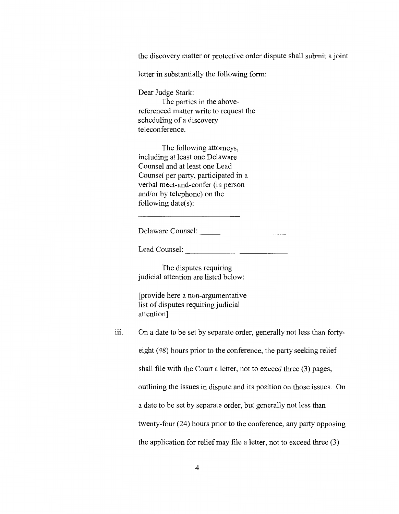the discovery matter or protective order dispute shall submit a joint

letter in substantially the following form:

Dear Judge Stark:

The parties in the abovereferenced matter write to request the scheduling of a discovery teleconference.

The following attorneys, including at least one Delaware Counsel and at least one Lead Counsel per party, participated in a verbal meet-and-confer (in person and/or by telephone) on the following date(s):

Delaware Counsel:  $\qquad \qquad$ 

Lead Counsel:

The disputes requiring judicial attention are listed below:

[provide here a non-argumentative list of disputes requiring judicial attention]

iii. On a date to be set by separate order, generally not less than fortyeight (48) hours prior to the conference, the party seeking relief shall file with the Court a letter, not to exceed three (3) pages, outlining the issues in dispute and its position on those issues. On a date to be set by separate order, but generally not less than twenty-four (24) hours prior to the conference, any party opposing the application for relief may file a letter, not to exceed three (3)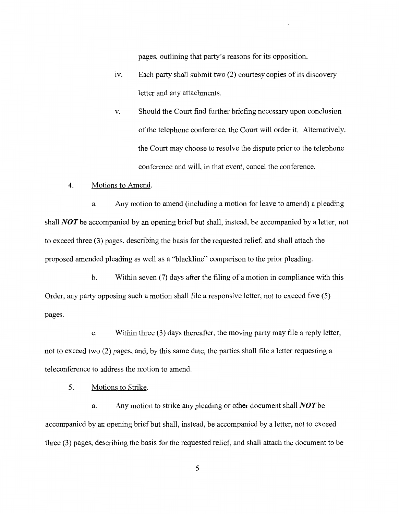pages, outlining that party's reasons for its opposition.

- 1v. Each party shall submit two (2) courtesy copies of its discovery letter and any attachments.
- v. Should the Court find further briefing necessary upon conclusion of the telephone conference, the Court will order it. Alternatively, the Court may choose to resolve the dispute prior to the telephone conference and will, in that event, cancel the conference.

#### 4. Motions to Amend.

a. Any motion to amend (including a motion for leave to amend) a pleading shall *NOT* be accompanied by an opening brief but shall, instead, be accompanied by a letter, not to exceed three (3) pages, describing the basis for the requested relief, and shall attach the proposed amended pleading as well as a "blackline" comparison to the prior pleading.

b. Within seven (7) days after the filing of a motion in compliance with this Order, any party opposing such a motion shall file a responsive letter, not to exceed five (5) pages.

c. Within three (3) days thereafter, the moving party may file a reply letter, not to exceed two (2) pages, and, by this same date, the parties shall file a letter requesting a teleconference to address the motion to amend.

5. Motions to Strike.

a. Any motion to strike any pleading or other document shall *NOT* be accompanied by an opening brief but shall, instead, be accompanied by a letter, not to exceed three (3) pages, describing the basis for the requested relief, and shall attach the document to be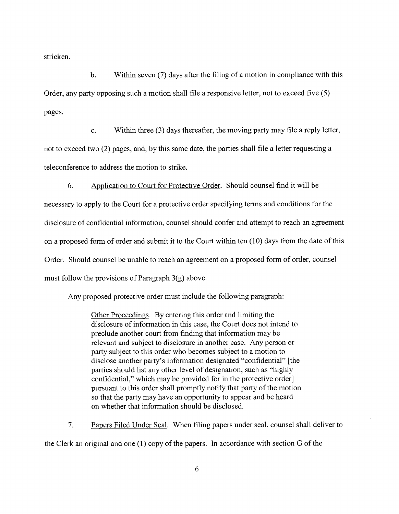stricken.

b. Within seven (7) days after the filing of a motion in compliance with this Order, any party opposing such a motion shall file a responsive letter, not to exceed five (5) pages.

c. Within three (3) days thereafter, the moving party may file a reply letter, not to exceed two (2) pages, and, by this same date, the parties shall file a letter requesting a teleconference to address the motion to strike.

6. Application to Court for Protective Order. Should counsel find it will be necessary to apply to the Court for a protective order specifying terms and conditions for the disclosure of confidential information, counsel should confer and attempt to reach an agreement on a proposed form of order and submit it to the Court within ten (10) days from the date of this Order. Should counsel be unable to reach an agreement on a proposed form of order, counsel must follow the provisions of Paragraph 3(g) above.

Any proposed protective order must include the following paragraph:

Other Proceedings. By entering this order and limiting the disclosure of information in this case, the Court does not intend to preclude another court from finding that information may be relevant and subject to disclosure in another case. Any person or party subject to this order who becomes subject to a motion to disclose another party's information designated "confidential" [the parties should list any other level of designation, such as "highly confidential," which may be provided for in the protective order] pursuant to this order shall promptly notify that party of the motion so that the party may have an opportunity to appear and be heard on whether that information should be disclosed.

7. Papers Filed Under Seal. When filing papers under seal, counsel shall deliver to the Clerk an original and one (1) copy of the papers. In accordance with section G of the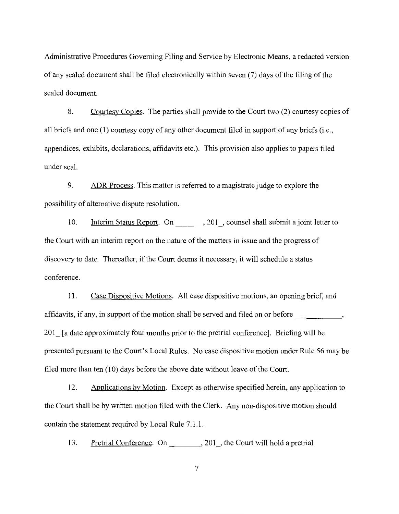Administrative Procedures Governing Filing and Service by Electronic Means, a redacted version of any sealed document shall be filed electronically within seven (7) days of the filing of the sealed document.

8. Courtesy Copies. The parties shall provide to the Court two (2) courtesy copies of all briefs and one (1) courtesy copy of any other document filed in support of any briefs (i.e., appendices, exhibits, declarations, affidavits etc.). This provision also applies to papers filed under seal.

9. ADR Process. This matter is referred to a magistrate judge to explore the possibility of alternative dispute resolution.

10. Interim Status Report. On . 201, counsel shall submit a joint letter to the Court with an interim report on the nature of the matters in issue and the progress of discovery to date. Thereafter, if the Court deems it necessary, it will schedule a status conference.

11. Case Dispositive Motions. All case dispositive motions, an opening brief, and affidavits, if any, in support of the motion shall be served and filed on or before 201 [a date approximately four months prior to the pretrial conference]. Briefing will be presented pursuant to the Court's Local Rules. No case dispositive motion under Rule 56 maybe filed more than ten (10) days before the above date without leave of the Court.

12. Applications by Motion. Except as otherwise specified herein, any application to the Court shall be by written motion filed with the Clerk. Any non-dispositive motion should contain the statement required by Local Rule 7.1.1.

13. Pretrial Conference. On 201, the Court will hold a pretrial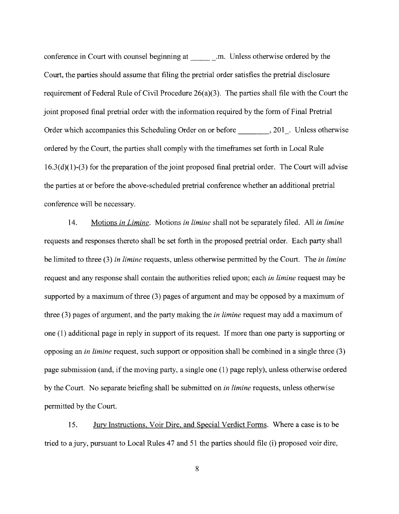conference in Court with counsel beginning at \_\_\_\_\_\_\_\_\_.m. Unless otherwise ordered by the Court, the parties should assume that filing the pretrial order satisfies the pretrial disclosure requirement of Federal Rule of Civil Procedure 26(a)(3). The parties shall file with the Court the joint proposed final pretrial order with the information required by the form of Final Pretrial Order which accompanies this Scheduling Order on or before , 201 . Unless otherwise ordered by the Court, the parties shall comply with the timeframes set forth in Local Rule  $16.3(d)(1)-(3)$  for the preparation of the joint proposed final pretrial order. The Court will advise the parties at or before the above-scheduled pretrial conference whether an additional pretrial conference will be necessary.

14. Motions *in Limine.* Motions *in limine* shall not be separately filed. All *in limine*  requests and responses thereto shall be set forth in the proposed pretrial order. Each party shall be limited to three (3) *in limine* requests, unless otherwise permitted by the Court. The *in limine*  request and any response shall contain the authorities relied upon; each *in limine* request may be supported by a maximum of three (3) pages of argument and may be opposed by a maximum of three (3) pages of argument, and the party making the *in limine* request may add a maximum of one (1) additional page in reply in support of its request. If more than one party is supporting or opposing an *in limine* request, such support or opposition shall be combined in a single three (3) page submission (and, if the moving party, a single one (1) page reply), unless otherwise ordered by the Court. No separate briefing shall be submitted on *in limine* requests, unless otherwise permitted by the Court.

15. Jury Instructions, Voir Dire, and Special Verdict Forms. Where a case is to be tried to a jury, pursuant to Local Rules 47 and 51 the parties should file (i) proposed voir dire,